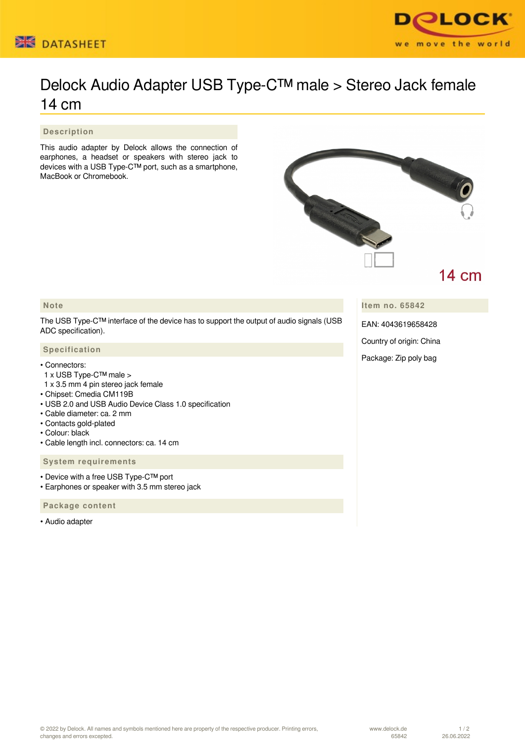



# Delock Audio Adapter USB Type-C™ male > Stereo Jack female 14 cm

## **Description**

This audio adapter by Delock allows the connection of earphones, a headset or speakers with stereo jack to devices with a USB Type-C™ port, such as a smartphone, MacBook or Chromebook.



## **Note**

The USB Type-C™ interface of the device has to support the output of audio signals (USB ADC specification).

### **Specification**

#### • Connectors:

- 1 x USB Type-C™ male >
- 1 x 3.5 mm 4 pin stereo jack female
- Chipset: Cmedia CM119B
- USB 2.0 and USB Audio Device Class 1.0 specification
- Cable diameter: ca. 2 mm
- Contacts gold-plated
- Colour: black
- Cable length incl. connectors: ca. 14 cm

#### **System requirements**

- Device with a free USB Type-C™ port
- Earphones or speaker with 3.5 mm stereo jack

## **Package content**

• Audio adapter

**Item no. 65842**

EAN: 4043619658428

Country of origin: China

Package: Zip poly bag